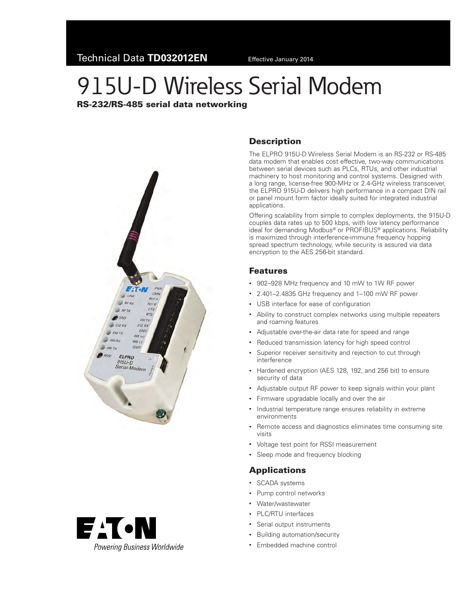# 915U-D Wireless Serial Modem

### RS-232/RS-485 serial data networking





## **Description**

The ELPRO 915U-D Wireless Serial Modem is an RS-232 or RS-485 data modem that enables cost effective, two-way communications between serial devices such as PLCs, RTUs, and other industrial machinery to host monitoring and control systems. Designed with a long range, license-free 900-MHz or 2.4-GHz wireless transceiver, the ELPRO 915U-D delivers high performance in a compact DIN rail or panel mount form factor ideally suited for integrated industrial applications.

Offering scalability from simple to complex deployments, the 915U-D couples data rates up to 500 kbps, with low latency performance ideal for demanding Modbus® or PROFIBUS® applications. Reliability is maximized through interference-immune frequency hopping spread spectrum technology, while security is assured via data encryption to the AES 256-bit standard.

## Features

- • 902–928 MHz frequency and 10 mW to 1W RF power
- • 2.401–2.4835 GHz frequency and 1–100 mW RF power
- • USB interface for ease of configuration
- Ability to construct complex networks using multiple repeaters and roaming features
- Adjustable over-the-air data rate for speed and range
- Reduced transmission latency for high speed control
- Superior receiver sensitivity and rejection to cut through interference
- Hardened encryption (AES 128, 192, and 256 bit) to ensure security of data
- Adjustable output RF power to keep signals within your plant
- Firmware upgradable locally and over the air
- Industrial temperature range ensures reliability in extreme environments
- Remote access and diagnostics eliminates time consuming site visits
- Voltage test point for RSSI measurement
- Sleep mode and frequency blocking

#### Applications

- • SCADA systems
- • Pump control networks
- Water/wastewater
- • PLC/RTU interfaces
- • Serial output instruments
- • Building automation/security
- • Embedded machine control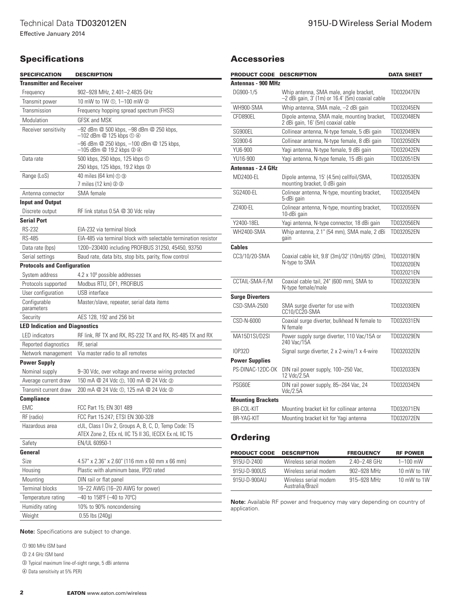#### Accessories

| <b>SPECIFICATION</b>                  | <b>DESCRIPTION</b>                                                                                                                                         | PRODUCT CODE DESCRIPTION                                                                |                                                                                              |                                              | <b>DATA SHEET</b> |
|---------------------------------------|------------------------------------------------------------------------------------------------------------------------------------------------------------|-----------------------------------------------------------------------------------------|----------------------------------------------------------------------------------------------|----------------------------------------------|-------------------|
| <b>Transmitter and Receiver</b>       |                                                                                                                                                            | <b>Antennas - 900 MHz</b>                                                               |                                                                                              |                                              |                   |
| Frequency                             | 902-928 MHz, 2.401-2.4835 GHz                                                                                                                              | DG900-1/5                                                                               | Whip antenna, SMA male, angle bracket,<br>$-2$ dBi gain, 3' (1m) or 16.4' (5m) coaxial cable |                                              | TD032047EN        |
| Transmit power                        | 10 mW to 1W ①, 1-100 mW ②                                                                                                                                  |                                                                                         |                                                                                              |                                              |                   |
| Transmission                          | Frequency hopping spread spectrum (FHSS)                                                                                                                   | WH900-SMA                                                                               | Whip antenna, SMA male, -2 dBi gain                                                          |                                              | TD032045EN        |
| Modulation                            | <b>GFSK and MSK</b>                                                                                                                                        | CFD890EL                                                                                | Dipole antenna, SMA male, mounting bracket,<br>2 dBi gain, 16' (5m) coaxial cable            |                                              | TD032048EN        |
| Receiver sensitivity                  | -92 dBm @ 500 kbps, -98 dBm @ 250 kbps,<br>$-102$ dBm $@$ 125 kbps $@$ $@$<br>-96 dBm @ 250 kbps, -100 dBm @ 125 kbps,<br>$-105$ dBm $@$ 19.2 kbps $@$ $@$ | SG900EL                                                                                 |                                                                                              | Collinear antenna, N-type female, 5 dBi gain |                   |
|                                       |                                                                                                                                                            | SG900-6                                                                                 |                                                                                              | Collinear antenna, N-type female, 8 dBi gain |                   |
|                                       |                                                                                                                                                            | YU6-900                                                                                 |                                                                                              | Yagi antenna, N-type female, 9 dBi gain      |                   |
| Data rate                             | 500 kbps, 250 kbps, 125 kbps ①                                                                                                                             | YU16-900                                                                                |                                                                                              | Yagi antenna, N-type female, 15 dBi gain     |                   |
|                                       | 250 kbps, 125 kbps, 19.2 kbps 2                                                                                                                            | Antennas - 2.4 GHz                                                                      |                                                                                              |                                              |                   |
| Range (LoS)                           | 40 miles (64 km) ① ③<br>7 miles (12 km) 2 3                                                                                                                | MD2400-EL                                                                               | Dipole antenna, 15' (4.5m) cellfoil/SMA,<br>mounting bracket, 0 dBi gain                     |                                              | TD032053EN        |
| Antenna connector                     | SMA female                                                                                                                                                 | SG2400-EL                                                                               | Colinear antenna, N-type, mounting bracket,                                                  |                                              | TD032054EN        |
| <b>Input and Output</b>               |                                                                                                                                                            |                                                                                         | 5-dBi gain                                                                                   |                                              |                   |
| Discrete output                       | RF link status 0.5A @ 30 Vdc relay                                                                                                                         | Z2400-EL                                                                                | Colinear antenna, N-type, mounting bracket,<br>10-dBi gain                                   |                                              | TD032055EN        |
| <b>Serial Port</b>                    |                                                                                                                                                            | Y2400-18EL                                                                              | Yagi antenna, N-type connector, 18 dBi gain                                                  |                                              | TD032056EN        |
| <b>RS-232</b>                         | EIA-232 via terminal block                                                                                                                                 | <b>WH2400-SMA</b>                                                                       | Whip antenna, 2.1" (54 mm), SMA male, 2 dBi                                                  |                                              | TD032052EN        |
| <b>RS-485</b>                         | EIA-485 via terminal block with selectable termination resistor                                                                                            |                                                                                         | gain                                                                                         |                                              |                   |
| Data rate (bps)                       | 1200-230400 including PROFIBUS 31250, 45450, 93750                                                                                                         | <b>Cables</b>                                                                           | Coaxial cable kit, 9.8' (3m)/32' (10m)/65' (20m),                                            |                                              |                   |
| Serial settings                       | Baud rate, data bits, stop bits, parity, flow control                                                                                                      | CC3/10/20-SMA                                                                           |                                                                                              |                                              | TD032019EN        |
| <b>Protocols and Configuration</b>    |                                                                                                                                                            |                                                                                         | N-type to SMA                                                                                |                                              | TD032020EN        |
| System address                        | $4.2 \times 10^9$ possible addresses                                                                                                                       |                                                                                         |                                                                                              |                                              | TD032021EN        |
| Protocols supported                   | Modbus RTU, DF1, PROFIBUS                                                                                                                                  | CCTAIL-SMA-F/M                                                                          | Coaxial cable tail, 24" (600 mm), SMA to<br>N-type female/male                               |                                              | TD032023EN        |
| User configuration                    | USB interface                                                                                                                                              | <b>Surge Diverters</b>                                                                  |                                                                                              |                                              |                   |
| Configurable<br>parameters            | Master/slave, repeater, serial data items                                                                                                                  | CSD-SMA-2500                                                                            | SMA surge diverter for use with<br>CC10/CC20-SMA                                             |                                              | TD032030EN        |
| Security                              | AES 128, 192 and 256 bit                                                                                                                                   | CSD-N-6000                                                                              | Coaxial surge diverter, bulkhead N female to                                                 |                                              | TD032031EN        |
| <b>LED Indication and Diagnostics</b> |                                                                                                                                                            |                                                                                         | N female                                                                                     |                                              |                   |
| LED indicators                        | RF link, RF TX and RX, RS-232 TX and RX, RS-485 TX and RX                                                                                                  | MA15D1SI/D2SI                                                                           | Power supply surge diverter, 110 Vac/15A or<br>240 Vac/15A                                   |                                              | TD032029EN        |
| Reported diagnostics                  | RF, serial                                                                                                                                                 |                                                                                         |                                                                                              |                                              |                   |
| Network management                    | Via master radio to all remotes                                                                                                                            | <b>IOP32D</b>                                                                           | Signal surge diverter, 2 x 2-wire/1 x 4-wire                                                 |                                              | TD032032EN        |
| <b>Power Supply</b>                   |                                                                                                                                                            | <b>Power Supplies</b>                                                                   | DIN rail power supply, 100-250 Vac,<br>12 Vdc/2.5A                                           |                                              |                   |
| Nominal supply                        | 9-30 Vdc, over voltage and reverse wiring protected                                                                                                        | PS-DINAC-12DC-OK                                                                        |                                                                                              |                                              | TD032033EN        |
| Average current draw                  | 150 mA @ 24 Vdc ①, 100 mA @ 24 Vdc ②                                                                                                                       | PSG60E                                                                                  | DIN rail power supply, 85-264 Vac, 24<br>Vdc/2.5A                                            |                                              | TD032034EN        |
| Transmit current draw                 | 200 mA @ 24 Vdc ①, 125 mA @ 24 Vdc ②                                                                                                                       |                                                                                         |                                                                                              |                                              |                   |
| <b>Compliance</b>                     |                                                                                                                                                            | <b>Mounting Brackets</b>                                                                |                                                                                              |                                              |                   |
| <b>EMC</b>                            | FCC Part 15; EN 301 489                                                                                                                                    | BR-COL-KIT                                                                              | Mounting bracket kit for collinear antenna                                                   |                                              | TD032071EN        |
| RF (radio)                            | FCC Part 15.247; ETSI EN 300-328                                                                                                                           | BR-YAG-KIT                                                                              | Mounting bracket kit for Yagi antenna                                                        |                                              | TD032072EN        |
| Hazardous area                        | cUL, Class I Div 2, Groups A, B, C, D, Temp Code: T5<br>ATEX Zone 2, EEx nL IIC T5 II 3G, IECEX Ex nL IIC T5                                               | <b>Ordering</b>                                                                         |                                                                                              |                                              |                   |
| Safety                                | EN/UL 60950-1                                                                                                                                              |                                                                                         |                                                                                              |                                              |                   |
| General                               |                                                                                                                                                            | <b>PRODUCT CODE</b>                                                                     | <b>DESCRIPTION</b>                                                                           | <b>FREQUENCY</b>                             | <b>RF POWER</b>   |
| Size                                  | 4.57" x 2.36" x 2.60" (116 mm x 60 mm x 66 mm)                                                                                                             | 915U-D-2400                                                                             | Wireless serial modem                                                                        | 2.40-2.48 GHz                                | $1 - 100$ mW      |
| Housing                               | Plastic with aluminum base, IP20 rated                                                                                                                     | 915U-D-900US                                                                            | Wireless serial modem                                                                        | 902-928 MHz                                  | 10 mW to 1W       |
| Mounting                              | DIN rail or flat panel                                                                                                                                     | 915U-D-900AU                                                                            | Wireless serial modem                                                                        | 915-928 MHz                                  | 10 mW to 1W       |
| Terminal blocks                       | 16-22 AWG (16-20 AWG for power)                                                                                                                            |                                                                                         | Australia/Brazil                                                                             |                                              |                   |
| Temperature rating                    | $-40$ to 158°F (-40 to 70°C)                                                                                                                               |                                                                                         |                                                                                              |                                              |                   |
| Humidity rating                       | 10% to 90% noncondensing                                                                                                                                   | Note: Available RF power and frequency may vary depending on country of<br>application. |                                                                                              |                                              |                   |

**Note:** Specifications are subject to change.

Weight 0.55 lbs (240g)

- <span id="page-1-0"></span> $\overline{O}$  900 MHz ISM band
- <span id="page-1-1"></span>b 2.4 GHz ISM band
- <span id="page-1-3"></span>c Typical maximum line-of-sight range, 5 dBi antenna
- <span id="page-1-2"></span>d Data sensitivity at 5% PER)